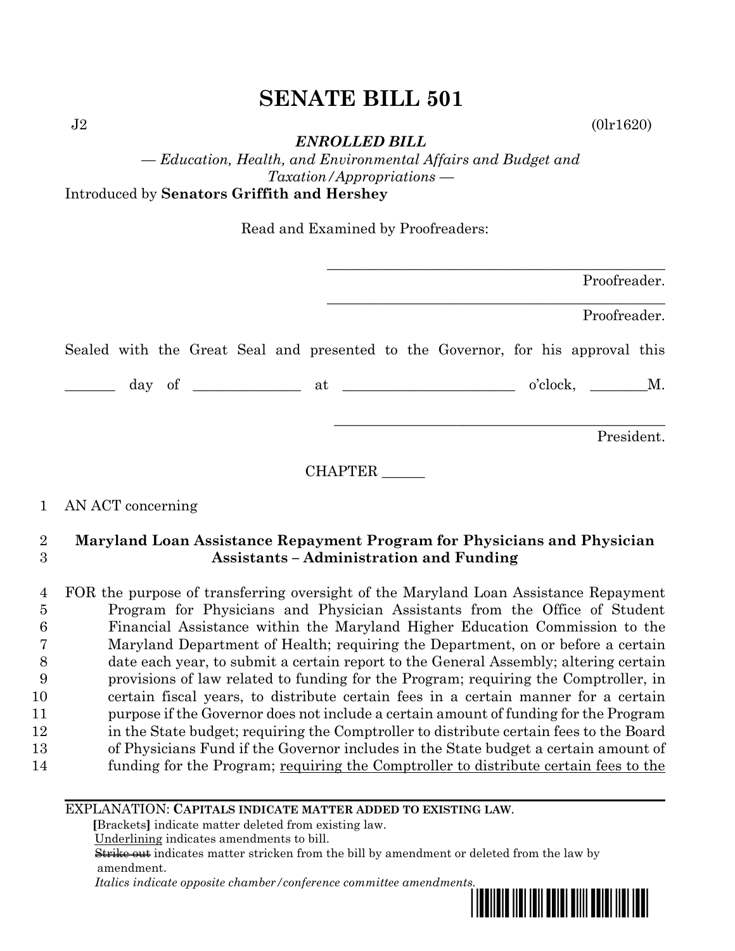$J2$  (0lr1620)

*ENROLLED BILL*

*— Education, Health, and Environmental Affairs and Budget and Taxation/Appropriations —* Introduced by **Senators Griffith and Hershey**

Read and Examined by Proofreaders:

| Proofreader.                                                                    |  |
|---------------------------------------------------------------------------------|--|
| Proofreader.                                                                    |  |
| Sealed with the Great Seal and presented to the Governor, for his approval this |  |
| $o'clock, \t M.$                                                                |  |
| President.                                                                      |  |

# 1 AN ACT concerning

### 2 **Maryland Loan Assistance Repayment Program for Physicians and Physician**  3 **Assistants – Administration and Funding**

 FOR the purpose of transferring oversight of the Maryland Loan Assistance Repayment Program for Physicians and Physician Assistants from the Office of Student Financial Assistance within the Maryland Higher Education Commission to the Maryland Department of Health; requiring the Department, on or before a certain date each year, to submit a certain report to the General Assembly; altering certain provisions of law related to funding for the Program; requiring the Comptroller, in certain fiscal years, to distribute certain fees in a certain manner for a certain purpose if the Governor does not include a certain amount of funding for the Program in the State budget; requiring the Comptroller to distribute certain fees to the Board of Physicians Fund if the Governor includes in the State budget a certain amount of funding for the Program; requiring the Comptroller to distribute certain fees to the

### EXPLANATION: **CAPITALS INDICATE MATTER ADDED TO EXISTING LAW**.

 **[**Brackets**]** indicate matter deleted from existing law.

Underlining indicates amendments to bill.

 Strike out indicates matter stricken from the bill by amendment or deleted from the law by amendment.

 *Italics indicate opposite chamber/conference committee amendments.*

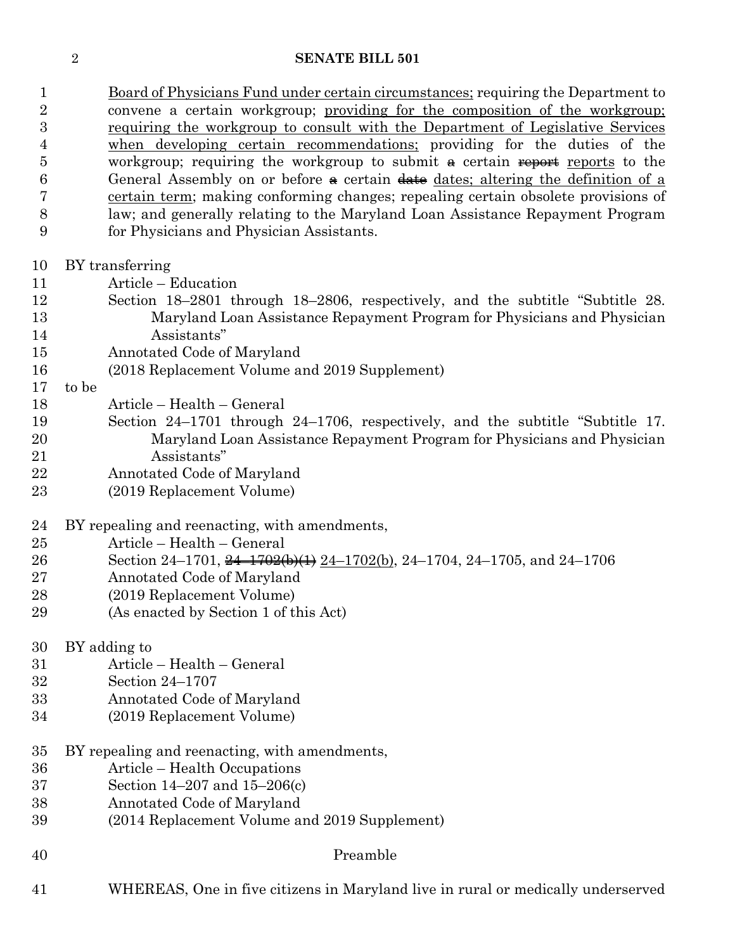1 Board of Physicians Fund under certain circumstances; requiring the Department to convene a certain workgroup; providing for the composition of the workgroup; requiring the workgroup to consult with the Department of Legislative Services when developing certain recommendations; providing for the duties of the workgroup; requiring the workgroup to submit  $\theta$  certain reports to the 6 General Assembly on or before  $\triangle$  certain date dates; altering the definition of a certain term; making conforming changes; repealing certain obsolete provisions of law; and generally relating to the Maryland Loan Assistance Repayment Program for Physicians and Physician Assistants.

- BY transferring
- Article Education
- Section 18–2801 through 18–2806, respectively, and the subtitle "Subtitle 28. Maryland Loan Assistance Repayment Program for Physicians and Physician Assistants"
- Annotated Code of Maryland
- (2018 Replacement Volume and 2019 Supplement)

to be

- Article Health General
- Section 24–1701 through 24–1706, respectively, and the subtitle "Subtitle 17. Maryland Loan Assistance Repayment Program for Physicians and Physician Assistants"
- Annotated Code of Maryland
- (2019 Replacement Volume)
- BY repealing and reenacting, with amendments,
- Article Health General
- Section 24–1701, 24–1702(b)(1) 24–1702(b), 24–1704, 24–1705, and 24–1706
- Annotated Code of Maryland
- (2019 Replacement Volume)
- (As enacted by Section 1 of this Act)
- BY adding to
- Article Health General
- Section 24–1707
- Annotated Code of Maryland
- (2019 Replacement Volume)
- BY repealing and reenacting, with amendments,
- Article Health Occupations
- Section 14–207 and 15–206(c)
- Annotated Code of Maryland
- (2014 Replacement Volume and 2019 Supplement)
- 

#### Preamble

WHEREAS, One in five citizens in Maryland live in rural or medically underserved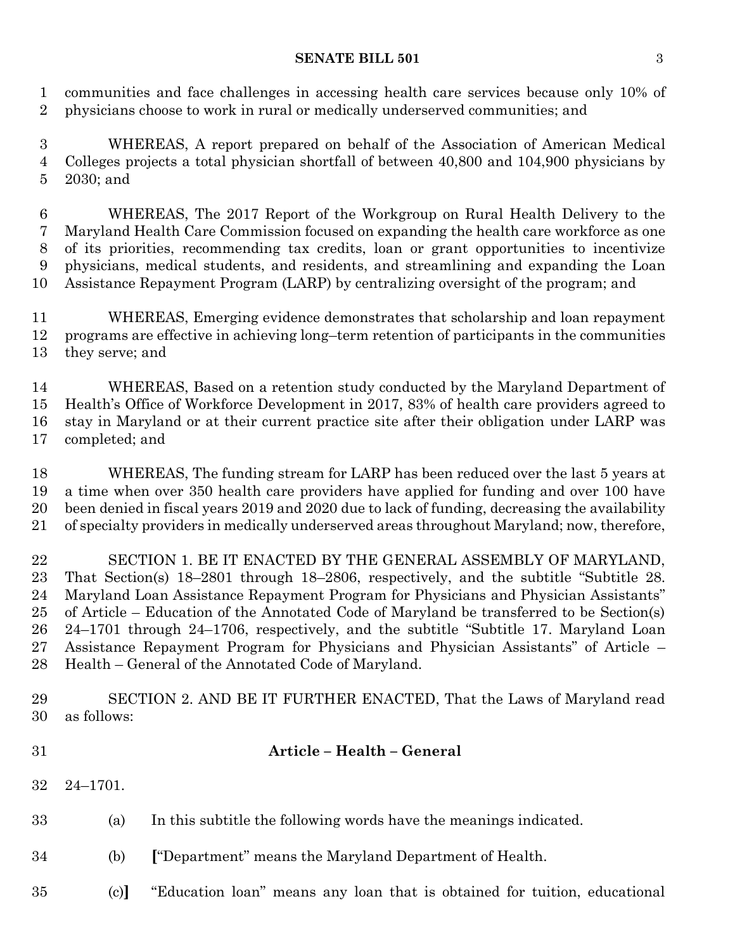communities and face challenges in accessing health care services because only 10% of physicians choose to work in rural or medically underserved communities; and

 WHEREAS, A report prepared on behalf of the Association of American Medical Colleges projects a total physician shortfall of between 40,800 and 104,900 physicians by 2030; and

 WHEREAS, The 2017 Report of the Workgroup on Rural Health Delivery to the Maryland Health Care Commission focused on expanding the health care workforce as one of its priorities, recommending tax credits, loan or grant opportunities to incentivize physicians, medical students, and residents, and streamlining and expanding the Loan Assistance Repayment Program (LARP) by centralizing oversight of the program; and

 WHEREAS, Emerging evidence demonstrates that scholarship and loan repayment programs are effective in achieving long–term retention of participants in the communities they serve; and

 WHEREAS, Based on a retention study conducted by the Maryland Department of Health's Office of Workforce Development in 2017, 83% of health care providers agreed to stay in Maryland or at their current practice site after their obligation under LARP was completed; and

 WHEREAS, The funding stream for LARP has been reduced over the last 5 years at a time when over 350 health care providers have applied for funding and over 100 have been denied in fiscal years 2019 and 2020 due to lack of funding, decreasing the availability of specialty providers in medically underserved areas throughout Maryland; now, therefore,

 SECTION 1. BE IT ENACTED BY THE GENERAL ASSEMBLY OF MARYLAND, That Section(s) 18–2801 through 18–2806, respectively, and the subtitle "Subtitle 28. Maryland Loan Assistance Repayment Program for Physicians and Physician Assistants" of Article – Education of the Annotated Code of Maryland be transferred to be Section(s) 24–1701 through 24–1706, respectively, and the subtitle "Subtitle 17. Maryland Loan Assistance Repayment Program for Physicians and Physician Assistants" of Article – Health – General of the Annotated Code of Maryland.

 SECTION 2. AND BE IT FURTHER ENACTED, That the Laws of Maryland read as follows:

**Article – Health – General** 

- 24–1701.
- (a) In this subtitle the following words have the meanings indicated.
- (b) **[**"Department" means the Maryland Department of Health.
- (c)**]** "Education loan" means any loan that is obtained for tuition, educational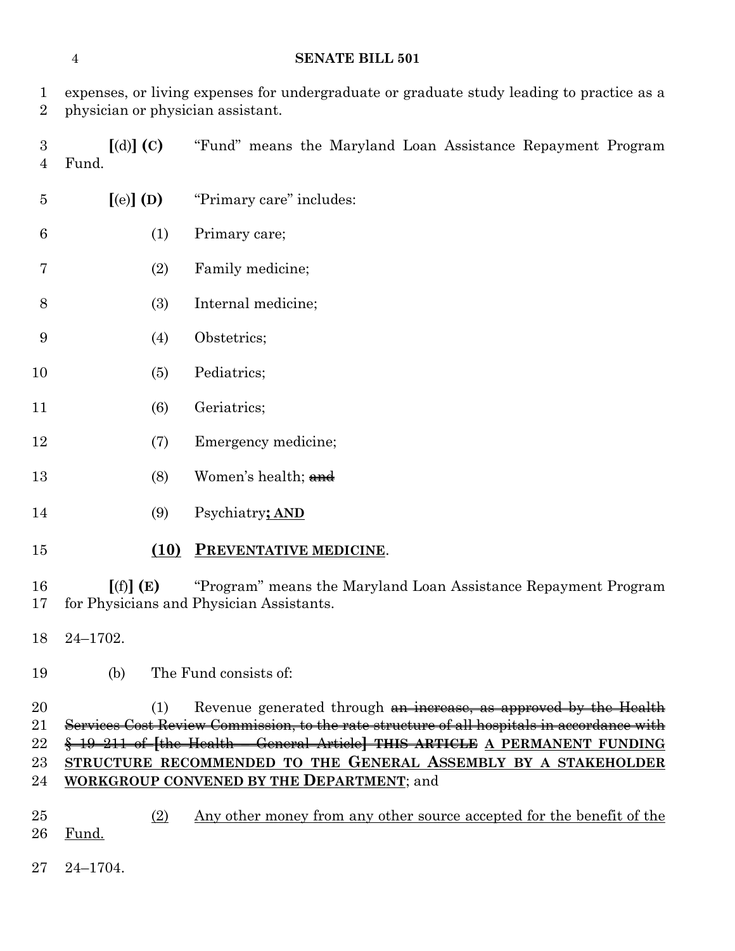expenses, or living expenses for undergraduate or graduate study leading to practice as a physician or physician assistant.

 **[**(d)**] (C)** "Fund" means the Maryland Loan Assistance Repayment Program Fund.

| $\overline{5}$ | $[$ (e) $]$ (D) | "Primary care" includes:                                                                                   |
|----------------|-----------------|------------------------------------------------------------------------------------------------------------|
| 6              | (1)             | Primary care;                                                                                              |
| 7              | (2)             | Family medicine;                                                                                           |
| 8              | (3)             | Internal medicine;                                                                                         |
| 9              | (4)             | Obstetrics;                                                                                                |
| 10             | (5)             | Pediatrics;                                                                                                |
| 11             | (6)             | Geriatrics;                                                                                                |
| 12             | (7)             | Emergency medicine;                                                                                        |
| 13             | (8)             | Women's health; and                                                                                        |
| 14             | (9)             | Psychiatry; AND                                                                                            |
| 15             | (10)            | PREVENTATIVE MEDICINE.                                                                                     |
| 16<br>17       | [(f)](E)        | "Program" means the Maryland Loan Assistance Repayment Program<br>for Physicians and Physician Assistants. |
| 18             | $24 - 1702.$    |                                                                                                            |
| 19             | (b)             | The Fund consists of:                                                                                      |
| 20             | (1)             | Revenue generated through an increase as annuared by the Health                                            |

20 (1) Revenue generated through an increase, as approved by the Health Services Cost Review Commission, to the rate structure of all hospitals in accordance with § 19–211 of **[**the Health – General Article**] THIS ARTICLE A PERMANENT FUNDING STRUCTURE RECOMMENDED TO THE GENERAL ASSEMBLY BY A STAKEHOLDER WORKGROUP CONVENED BY THE DEPARTMENT**; and

- (2) Any other money from any other source accepted for the benefit of the Fund.
- 24–1704.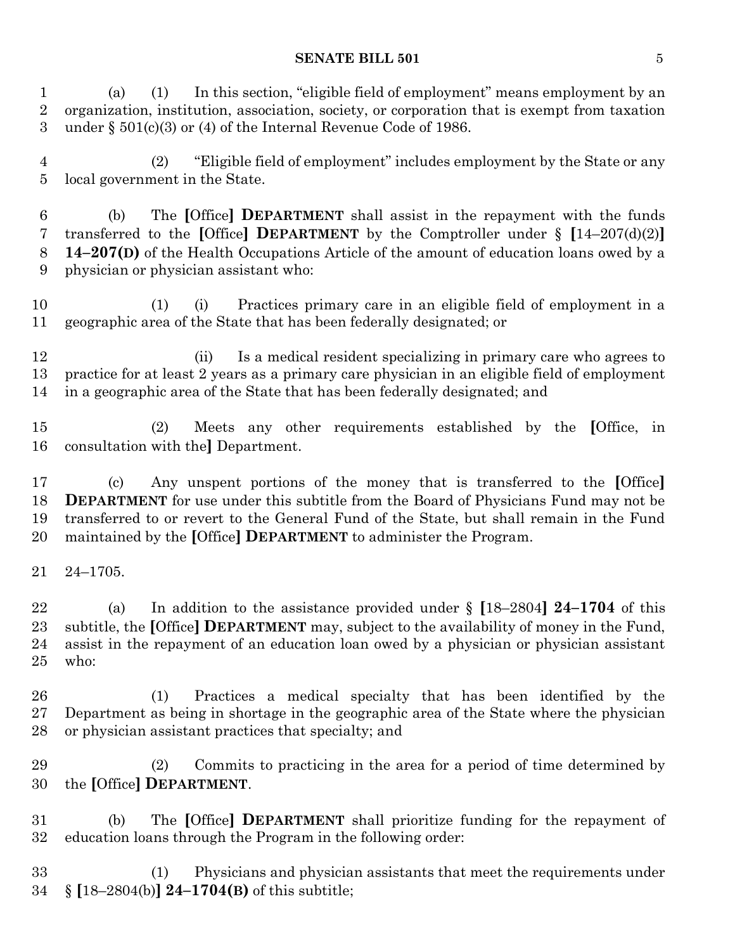(a) (1) In this section, "eligible field of employment" means employment by an organization, institution, association, society, or corporation that is exempt from taxation under § 501(c)(3) or (4) of the Internal Revenue Code of 1986.

 (2) "Eligible field of employment" includes employment by the State or any local government in the State.

 (b) The **[**Office**] DEPARTMENT** shall assist in the repayment with the funds transferred to the **[**Office**] DEPARTMENT** by the Comptroller under § **[**14–207(d)(2)**] 14–207(D)** of the Health Occupations Article of the amount of education loans owed by a physician or physician assistant who:

 (1) (i) Practices primary care in an eligible field of employment in a geographic area of the State that has been federally designated; or

 (ii) Is a medical resident specializing in primary care who agrees to practice for at least 2 years as a primary care physician in an eligible field of employment in a geographic area of the State that has been federally designated; and

 (2) Meets any other requirements established by the **[**Office, in consultation with the**]** Department.

 (c) Any unspent portions of the money that is transferred to the **[**Office**] DEPARTMENT** for use under this subtitle from the Board of Physicians Fund may not be transferred to or revert to the General Fund of the State, but shall remain in the Fund maintained by the **[**Office**] DEPARTMENT** to administer the Program.

24–1705.

 (a) In addition to the assistance provided under § **[**18–2804**] 24–1704** of this subtitle, the **[**Office**] DEPARTMENT** may, subject to the availability of money in the Fund, assist in the repayment of an education loan owed by a physician or physician assistant who:

 (1) Practices a medical specialty that has been identified by the Department as being in shortage in the geographic area of the State where the physician or physician assistant practices that specialty; and

 (2) Commits to practicing in the area for a period of time determined by the **[**Office**] DEPARTMENT**.

 (b) The **[**Office**] DEPARTMENT** shall prioritize funding for the repayment of education loans through the Program in the following order:

 (1) Physicians and physician assistants that meet the requirements under § **[**18–2804(b)**] 24–1704(B)** of this subtitle;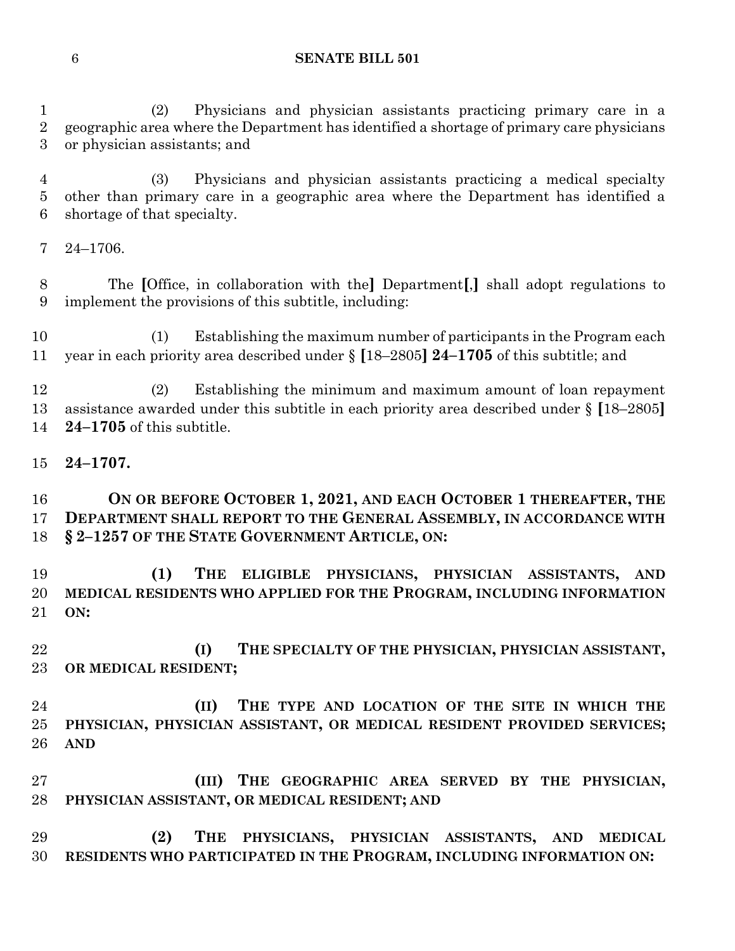(2) Physicians and physician assistants practicing primary care in a geographic area where the Department has identified a shortage of primary care physicians or physician assistants; and

 (3) Physicians and physician assistants practicing a medical specialty other than primary care in a geographic area where the Department has identified a shortage of that specialty.

24–1706.

 The **[**Office, in collaboration with the**]** Department**[**,**]** shall adopt regulations to implement the provisions of this subtitle, including:

 (1) Establishing the maximum number of participants in the Program each year in each priority area described under § **[**18–2805**] 24–1705** of this subtitle; and

 (2) Establishing the minimum and maximum amount of loan repayment assistance awarded under this subtitle in each priority area described under § **[**18–2805**] 24–1705** of this subtitle.

### **24–1707.**

 **ON OR BEFORE OCTOBER 1, 2021, AND EACH OCTOBER 1 THEREAFTER, THE DEPARTMENT SHALL REPORT TO THE GENERAL ASSEMBLY, IN ACCORDANCE WITH § 2–1257 OF THE STATE GOVERNMENT ARTICLE, ON:**

 **(1) THE ELIGIBLE PHYSICIANS, PHYSICIAN ASSISTANTS, AND MEDICAL RESIDENTS WHO APPLIED FOR THE PROGRAM, INCLUDING INFORMATION ON:**

 **(I) THE SPECIALTY OF THE PHYSICIAN, PHYSICIAN ASSISTANT, OR MEDICAL RESIDENT;**

 **(II) THE TYPE AND LOCATION OF THE SITE IN WHICH THE PHYSICIAN, PHYSICIAN ASSISTANT, OR MEDICAL RESIDENT PROVIDED SERVICES; AND** 

 **(III) THE GEOGRAPHIC AREA SERVED BY THE PHYSICIAN, PHYSICIAN ASSISTANT, OR MEDICAL RESIDENT; AND**

 **(2) THE PHYSICIANS, PHYSICIAN ASSISTANTS, AND MEDICAL RESIDENTS WHO PARTICIPATED IN THE PROGRAM, INCLUDING INFORMATION ON:**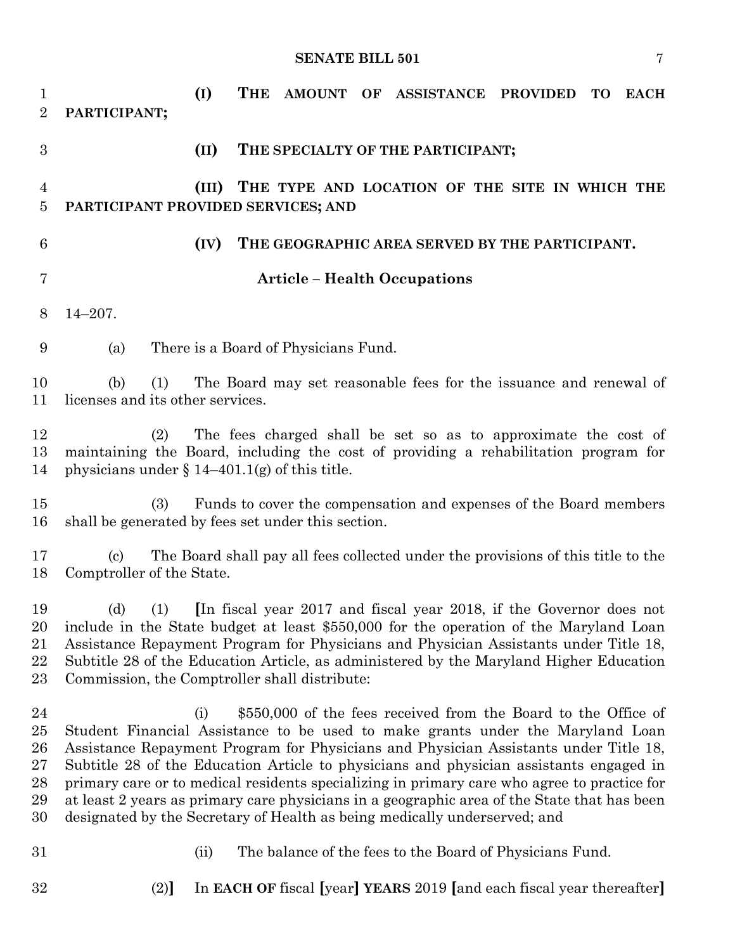| 1<br>$\overline{2}$                    | (I)<br>PARTICIPANT;                                         | THE<br>AMOUNT OF ASSISTANCE PROVIDED<br><b>TO</b><br><b>EACH</b>                                                                                                                                                                                                                                                                                                                                                                                                                                                                                                                                              |
|----------------------------------------|-------------------------------------------------------------|---------------------------------------------------------------------------------------------------------------------------------------------------------------------------------------------------------------------------------------------------------------------------------------------------------------------------------------------------------------------------------------------------------------------------------------------------------------------------------------------------------------------------------------------------------------------------------------------------------------|
| 3                                      | (II)                                                        | THE SPECIALTY OF THE PARTICIPANT;                                                                                                                                                                                                                                                                                                                                                                                                                                                                                                                                                                             |
| $\overline{4}$<br>$\overline{5}$       | (III)<br>PARTICIPANT PROVIDED SERVICES; AND                 | THE TYPE AND LOCATION OF THE SITE IN WHICH THE                                                                                                                                                                                                                                                                                                                                                                                                                                                                                                                                                                |
| $6\phantom{.}6$                        | (IV)                                                        | THE GEOGRAPHIC AREA SERVED BY THE PARTICIPANT.                                                                                                                                                                                                                                                                                                                                                                                                                                                                                                                                                                |
| $\overline{7}$                         |                                                             | <b>Article - Health Occupations</b>                                                                                                                                                                                                                                                                                                                                                                                                                                                                                                                                                                           |
| 8                                      | $14 - 207$ .                                                |                                                                                                                                                                                                                                                                                                                                                                                                                                                                                                                                                                                                               |
| 9                                      | (a)                                                         | There is a Board of Physicians Fund.                                                                                                                                                                                                                                                                                                                                                                                                                                                                                                                                                                          |
| 10<br>11                               | (b)<br>(1)<br>licenses and its other services.              | The Board may set reasonable fees for the issuance and renewal of                                                                                                                                                                                                                                                                                                                                                                                                                                                                                                                                             |
| 12<br>13<br>14                         | (2)<br>physicians under $\S 14-401.1(g)$ of this title.     | The fees charged shall be set so as to approximate the cost of<br>maintaining the Board, including the cost of providing a rehabilitation program for                                                                                                                                                                                                                                                                                                                                                                                                                                                         |
| 15<br>16                               | (3)<br>shall be generated by fees set under this section.   | Funds to cover the compensation and expenses of the Board members                                                                                                                                                                                                                                                                                                                                                                                                                                                                                                                                             |
| 17<br>18                               | $\left( \mathrm{c}\right)$<br>Comptroller of the State.     | The Board shall pay all fees collected under the provisions of this title to the                                                                                                                                                                                                                                                                                                                                                                                                                                                                                                                              |
| 19<br>20<br>21<br>22<br>23             | (d)<br>(1)<br>Commission, the Comptroller shall distribute: | In fiscal year 2017 and fiscal year 2018, if the Governor does not<br>include in the State budget at least \$550,000 for the operation of the Maryland Loan<br>Assistance Repayment Program for Physicians and Physician Assistants under Title 18,<br>Subtitle 28 of the Education Article, as administered by the Maryland Higher Education                                                                                                                                                                                                                                                                 |
| 24<br>25<br>26<br>27<br>28<br>29<br>30 | (i)                                                         | \$550,000 of the fees received from the Board to the Office of<br>Student Financial Assistance to be used to make grants under the Maryland Loan<br>Assistance Repayment Program for Physicians and Physician Assistants under Title 18,<br>Subtitle 28 of the Education Article to physicians and physician assistants engaged in<br>primary care or to medical residents specializing in primary care who agree to practice for<br>at least 2 years as primary care physicians in a geographic area of the State that has been<br>designated by the Secretary of Health as being medically underserved; and |
| 31                                     | (ii)                                                        | The balance of the fees to the Board of Physicians Fund.                                                                                                                                                                                                                                                                                                                                                                                                                                                                                                                                                      |
| 32                                     | (2)                                                         | In EACH OF fiscal [year] YEARS 2019 [and each fiscal year thereafter]                                                                                                                                                                                                                                                                                                                                                                                                                                                                                                                                         |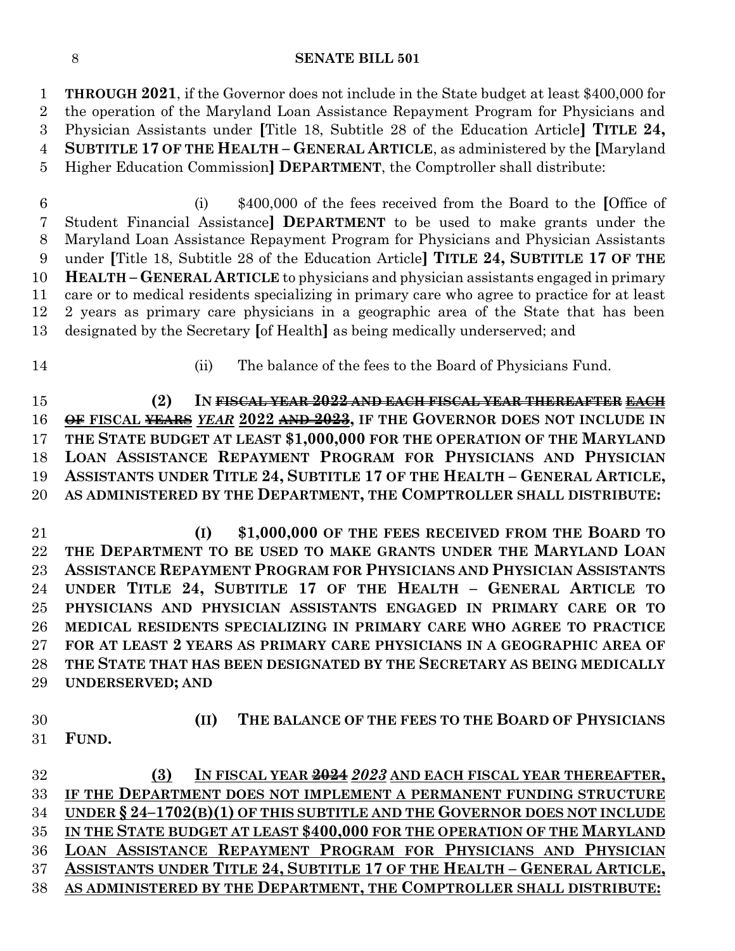**THROUGH 2021**, if the Governor does not include in the State budget at least \$400,000 for the operation of the Maryland Loan Assistance Repayment Program for Physicians and Physician Assistants under **[**Title 18, Subtitle 28 of the Education Article**] TITLE 24, SUBTITLE 17 OF THE HEALTH – GENERAL ARTICLE**, as administered by the **[**Maryland Higher Education Commission**] DEPARTMENT**, the Comptroller shall distribute:

 (i) \$400,000 of the fees received from the Board to the **[**Office of Student Financial Assistance**] DEPARTMENT** to be used to make grants under the Maryland Loan Assistance Repayment Program for Physicians and Physician Assistants under **[**Title 18, Subtitle 28 of the Education Article**] TITLE 24, SUBTITLE 17 OF THE HEALTH – GENERAL ARTICLE** to physicians and physician assistants engaged in primary care or to medical residents specializing in primary care who agree to practice for at least 2 years as primary care physicians in a geographic area of the State that has been designated by the Secretary **[**of Health**]** as being medically underserved; and

- 
- (ii) The balance of the fees to the Board of Physicians Fund.

 **(2) IN FISCAL YEAR 2022 AND EACH FISCAL YEAR THEREAFTER EACH OF FISCAL YEARS** *YEAR* **2022 AND 2023, IF THE GOVERNOR DOES NOT INCLUDE IN THE STATE BUDGET AT LEAST \$1,000,000 FOR THE OPERATION OF THE MARYLAND LOAN ASSISTANCE REPAYMENT PROGRAM FOR PHYSICIANS AND PHYSICIAN ASSISTANTS UNDER TITLE 24, SUBTITLE 17 OF THE HEALTH – GENERAL ARTICLE, AS ADMINISTERED BY THE DEPARTMENT, THE COMPTROLLER SHALL DISTRIBUTE:**

 **(I) \$1,000,000 OF THE FEES RECEIVED FROM THE BOARD TO THE DEPARTMENT TO BE USED TO MAKE GRANTS UNDER THE MARYLAND LOAN ASSISTANCE REPAYMENT PROGRAM FOR PHYSICIANS AND PHYSICIAN ASSISTANTS UNDER TITLE 24, SUBTITLE 17 OF THE HEALTH – GENERAL ARTICLE TO PHYSICIANS AND PHYSICIAN ASSISTANTS ENGAGED IN PRIMARY CARE OR TO MEDICAL RESIDENTS SPECIALIZING IN PRIMARY CARE WHO AGREE TO PRACTICE FOR AT LEAST 2 YEARS AS PRIMARY CARE PHYSICIANS IN A GEOGRAPHIC AREA OF THE STATE THAT HAS BEEN DESIGNATED BY THE SECRETARY AS BEING MEDICALLY UNDERSERVED; AND**

 **(II) THE BALANCE OF THE FEES TO THE BOARD OF PHYSICIANS FUND.**

 **(3) IN FISCAL YEAR 2024** *2023* **AND EACH FISCAL YEAR THEREAFTER, IF THE DEPARTMENT DOES NOT IMPLEMENT A PERMANENT FUNDING STRUCTURE UNDER § 24–1702(B)(1) OF THIS SUBTITLE AND THE GOVERNOR DOES NOT INCLUDE IN THE STATE BUDGET AT LEAST \$400,000 FOR THE OPERATION OF THE MARYLAND LOAN ASSISTANCE REPAYMENT PROGRAM FOR PHYSICIANS AND PHYSICIAN ASSISTANTS UNDER TITLE 24, SUBTITLE 17 OF THE HEALTH – GENERAL ARTICLE, AS ADMINISTERED BY THE DEPARTMENT, THE COMPTROLLER SHALL DISTRIBUTE:**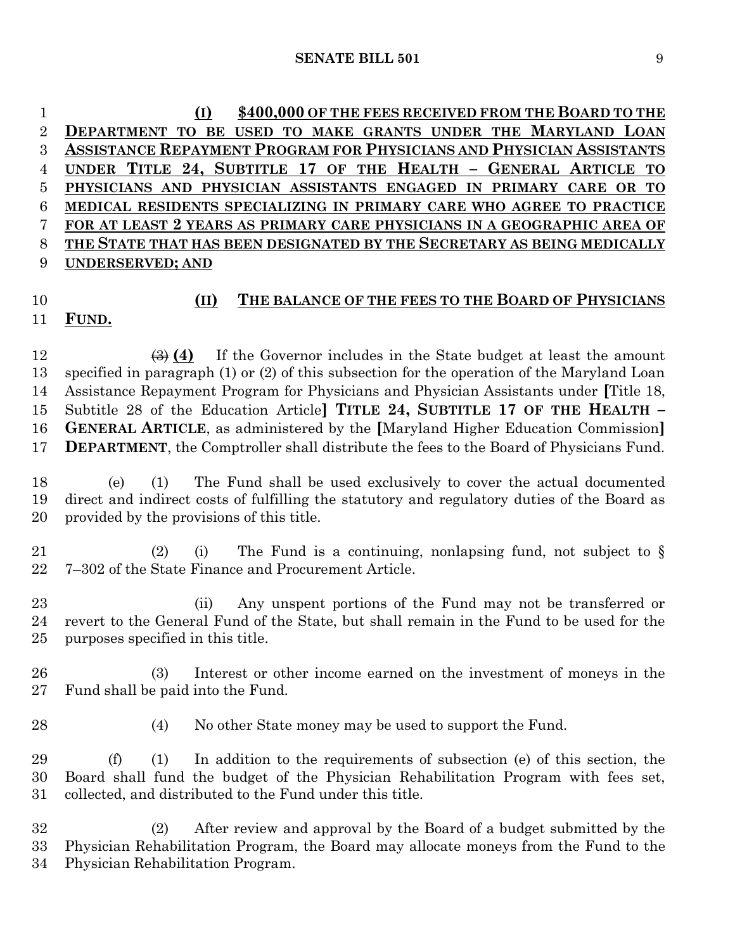**(I) \$400,000 OF THE FEES RECEIVED FROM THE BOARD TO THE DEPARTMENT TO BE USED TO MAKE GRANTS UNDER THE MARYLAND LOAN ASSISTANCE REPAYMENT PROGRAM FOR PHYSICIANS AND PHYSICIAN ASSISTANTS UNDER TITLE 24, SUBTITLE 17 OF THE HEALTH – GENERAL ARTICLE TO PHYSICIANS AND PHYSICIAN ASSISTANTS ENGAGED IN PRIMARY CARE OR TO MEDICAL RESIDENTS SPECIALIZING IN PRIMARY CARE WHO AGREE TO PRACTICE FOR AT LEAST 2 YEARS AS PRIMARY CARE PHYSICIANS IN A GEOGRAPHIC AREA OF THE STATE THAT HAS BEEN DESIGNATED BY THE SECRETARY AS BEING MEDICALLY UNDERSERVED; AND**

### **(II)** THE BALANCE OF THE FEES TO THE BOARD OF PHYSICIANS **FUND.**

 $\left(\frac{3}{2}\right)$  (4) If the Governor includes in the State budget at least the amount specified in paragraph (1) or (2) of this subsection for the operation of the Maryland Loan Assistance Repayment Program for Physicians and Physician Assistants under **[**Title 18, Subtitle 28 of the Education Article**] TITLE 24, SUBTITLE 17 OF THE HEALTH – GENERAL ARTICLE**, as administered by the **[**Maryland Higher Education Commission**] DEPARTMENT**, the Comptroller shall distribute the fees to the Board of Physicians Fund.

 (e) (1) The Fund shall be used exclusively to cover the actual documented direct and indirect costs of fulfilling the statutory and regulatory duties of the Board as provided by the provisions of this title.

 (2) (i) The Fund is a continuing, nonlapsing fund, not subject to § 7–302 of the State Finance and Procurement Article.

 (ii) Any unspent portions of the Fund may not be transferred or revert to the General Fund of the State, but shall remain in the Fund to be used for the purposes specified in this title.

 (3) Interest or other income earned on the investment of moneys in the Fund shall be paid into the Fund.

(4) No other State money may be used to support the Fund.

 (f) (1) In addition to the requirements of subsection (e) of this section, the Board shall fund the budget of the Physician Rehabilitation Program with fees set, collected, and distributed to the Fund under this title.

 (2) After review and approval by the Board of a budget submitted by the Physician Rehabilitation Program, the Board may allocate moneys from the Fund to the Physician Rehabilitation Program.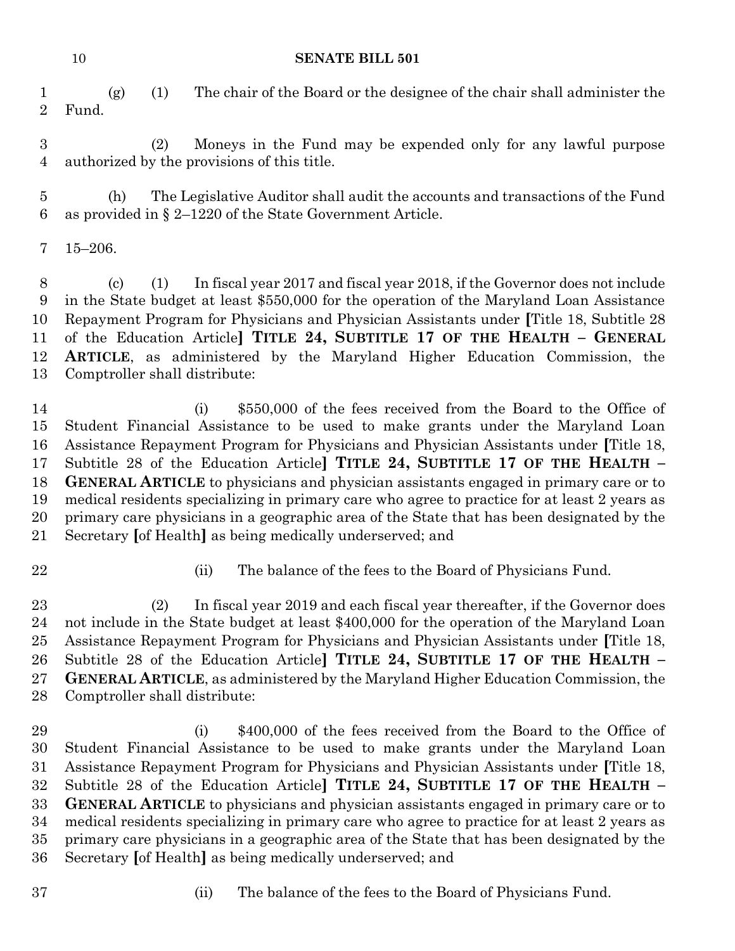(g) (1) The chair of the Board or the designee of the chair shall administer the Fund.

 (2) Moneys in the Fund may be expended only for any lawful purpose authorized by the provisions of this title.

 (h) The Legislative Auditor shall audit the accounts and transactions of the Fund as provided in § 2–1220 of the State Government Article.

### 15–206.

 (c) (1) In fiscal year 2017 and fiscal year 2018, if the Governor does not include in the State budget at least \$550,000 for the operation of the Maryland Loan Assistance Repayment Program for Physicians and Physician Assistants under **[**Title 18, Subtitle 28 of the Education Article**] TITLE 24, SUBTITLE 17 OF THE HEALTH – GENERAL ARTICLE**, as administered by the Maryland Higher Education Commission, the Comptroller shall distribute:

 (i) \$550,000 of the fees received from the Board to the Office of Student Financial Assistance to be used to make grants under the Maryland Loan Assistance Repayment Program for Physicians and Physician Assistants under **[**Title 18, Subtitle 28 of the Education Article**] TITLE 24, SUBTITLE 17 OF THE HEALTH – GENERAL ARTICLE** to physicians and physician assistants engaged in primary care or to medical residents specializing in primary care who agree to practice for at least 2 years as primary care physicians in a geographic area of the State that has been designated by the Secretary **[**of Health**]** as being medically underserved; and

- 
- (ii) The balance of the fees to the Board of Physicians Fund.

 (2) In fiscal year 2019 and each fiscal year thereafter, if the Governor does not include in the State budget at least \$400,000 for the operation of the Maryland Loan Assistance Repayment Program for Physicians and Physician Assistants under **[**Title 18, Subtitle 28 of the Education Article**] TITLE 24, SUBTITLE 17 OF THE HEALTH – GENERAL ARTICLE**, as administered by the Maryland Higher Education Commission, the Comptroller shall distribute:

- 29 (i) \$400,000 of the fees received from the Board to the Office of Student Financial Assistance to be used to make grants under the Maryland Loan Assistance Repayment Program for Physicians and Physician Assistants under **[**Title 18, Subtitle 28 of the Education Article**] TITLE 24, SUBTITLE 17 OF THE HEALTH – GENERAL ARTICLE** to physicians and physician assistants engaged in primary care or to medical residents specializing in primary care who agree to practice for at least 2 years as primary care physicians in a geographic area of the State that has been designated by the Secretary **[**of Health**]** as being medically underserved; and
- 
- (ii) The balance of the fees to the Board of Physicians Fund.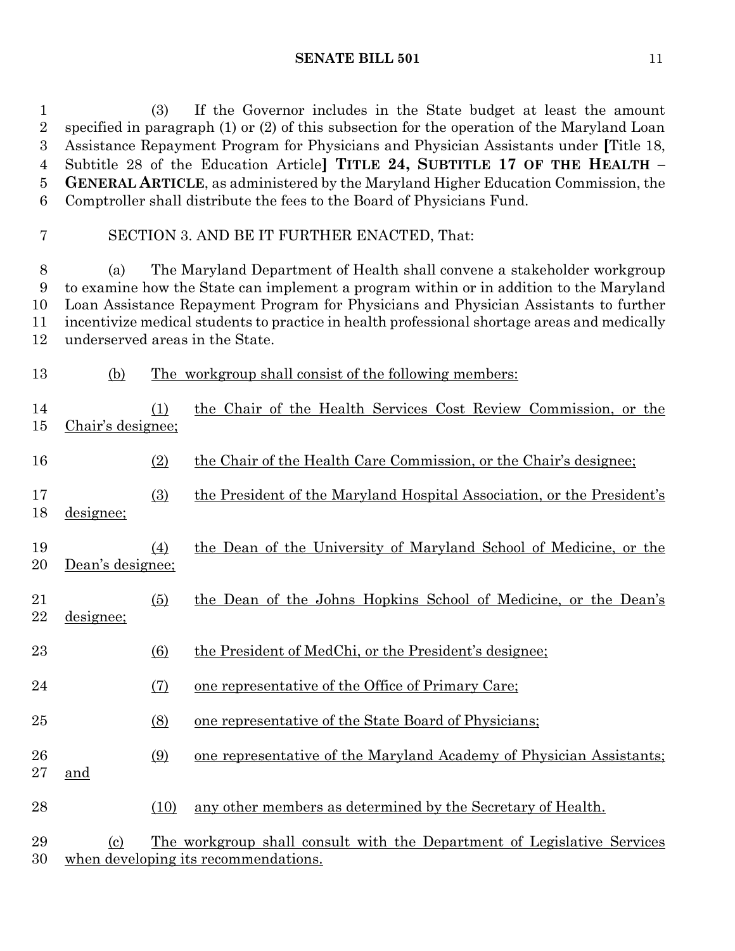(3) If the Governor includes in the State budget at least the amount specified in paragraph (1) or (2) of this subsection for the operation of the Maryland Loan Assistance Repayment Program for Physicians and Physician Assistants under **[**Title 18, Subtitle 28 of the Education Article**] TITLE 24, SUBTITLE 17 OF THE HEALTH – GENERAL ARTICLE**, as administered by the Maryland Higher Education Commission, the Comptroller shall distribute the fees to the Board of Physicians Fund.

### SECTION 3. AND BE IT FURTHER ENACTED, That:

 (a) The Maryland Department of Health shall convene a stakeholder workgroup to examine how the State can implement a program within or in addition to the Maryland Loan Assistance Repayment Program for Physicians and Physician Assistants to further incentivize medical students to practice in health professional shortage areas and medically underserved areas in the State.

(b) The workgroup shall consist of the following members:

| 14<br>15     | Chair's designee; | (1) | the Chair of the Health Services Cost Review Commission, or the        |
|--------------|-------------------|-----|------------------------------------------------------------------------|
| 16           |                   | (2) | the Chair of the Health Care Commission, or the Chair's designee;      |
| 17<br>18     | designee;         | (3) | the President of the Maryland Hospital Association, or the President's |
| 19<br>20     | Dean's designee;  | (4) | the Dean of the University of Maryland School of Medicine, or the      |
| 21<br>22     | designee;         | (5) | the Dean of the Johns Hopkins School of Medicine, or the Dean's        |
| 23           |                   | (6) | the President of MedChi, or the President's designee;                  |
| 24           |                   | (7) | <u>one representative of the Office of Primary Care</u> ;              |
| 25           |                   | (8) | <u>one representative of the State Board of Physicians;</u>            |
| 26<br>$27\,$ | and               | (9) | one representative of the Maryland Academy of Physician Assistants;    |

(10) any other members as determined by the Secretary of Health.

 (c) The workgroup shall consult with the Department of Legislative Services when developing its recommendations.